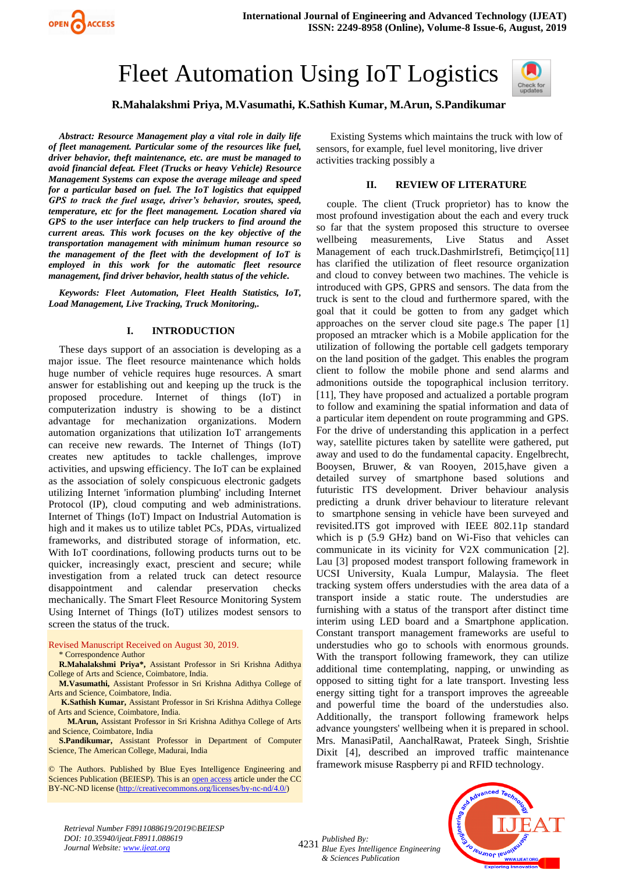

# Fleet Automation Using IoT Logistics



# **R.Mahalakshmi Priya, M.Vasumathi, K.Sathish Kumar, M.Arun, S.Pandikumar**

*Abstract: Resource Management play a vital role in daily life of fleet management. Particular some of the resources like fuel, driver behavior, theft maintenance, etc. are must be managed to avoid financial defeat. Fleet (Trucks or heavy Vehicle) Resource Management Systems can expose the average mileage and speed for a particular based on fuel. The IoT logistics that equipped GPS to track the fuel usage, driver's behavior, sroutes, speed, temperature, etc for the fleet management. Location shared via GPS to the user interface can help truckers to find around the current areas. This work focuses on the key objective of the transportation management with minimum human resource so the management of the fleet with the development of IoT is employed in this work for the automatic fleet resource management, find driver behavior, health status of the vehicle.*

*Keywords: Fleet Automation, Fleet Health Statistics, IoT, Load Management, Live Tracking, Truck Monitoring,.*

#### **I. INTRODUCTION**

These days support of an association is developing as a major issue. The fleet resource maintenance which holds huge number of vehicle requires huge resources. A smart answer for establishing out and keeping up the truck is the proposed procedure. Internet of things (IoT) in computerization industry is showing to be a distinct advantage for mechanization organizations. Modern automation organizations that utilization IoT arrangements can receive new rewards. The Internet of Things (IoT) creates new aptitudes to tackle challenges, improve activities, and upswing efficiency. The IoT can be explained as the association of solely conspicuous electronic gadgets utilizing Internet 'information plumbing' including Internet Protocol (IP), cloud computing and web administrations. Internet of Things (IoT) Impact on Industrial Automation is high and it makes us to utilize tablet PCs, PDAs, virtualized frameworks, and distributed storage of information, etc. With IoT coordinations, following products turns out to be quicker, increasingly exact, prescient and secure; while investigation from a related truck can detect resource disappointment and calendar preservation checks mechanically. The Smart Fleet Resource Monitoring System Using Internet of Things (IoT) utilizes modest sensors to screen the status of the truck.

Revised Manuscript Received on August 30, 2019.

\* Correspondence Author

**R.Mahalakshmi Priya\*,** Assistant Professor in Sri Krishna Adithya College of Arts and Science, Coimbatore, India.

**M.Vasumathi,** Assistant Professor in Sri Krishna Adithya College of Arts and Science, Coimbatore, India.

**K.Sathish Kumar,** Assistant Professor in Sri Krishna Adithya College of Arts and Science, Coimbatore, India.

 **M.Arun,** Assistant Professor in Sri Krishna Adithya College of Arts and Science, Coimbatore, India

**S.Pandikumar,** Assistant Professor in Department of Computer Science, The American College, Madurai, India

© The Authors. Published by Blue Eyes Intelligence Engineering and Sciences Publication (BEIESP). This is an [open access](https://www.openaccess.nl/en/open-publications) article under the CC BY-NC-ND license [\(http://creativecommons.org/licenses/by-nc-nd/4.0/\)](http://creativecommons.org/licenses/by-nc-nd/4.0/)

Existing Systems which maintains the truck with low of sensors, for example, fuel level monitoring, live driver activities tracking possibly a

#### **II. REVIEW OF LITERATURE**

couple. The client (Truck proprietor) has to know the most profound investigation about the each and every truck so far that the system proposed this structure to oversee wellbeing measurements, Live Status and Asset Management of each truck.DashmirIstrefi, Betimçiço[11] has clarified the utilization of fleet resource organization and cloud to convey between two machines. The vehicle is introduced with GPS, GPRS and sensors. The data from the truck is sent to the cloud and furthermore spared, with the goal that it could be gotten to from any gadget which approaches on the server cloud site page.s The paper [1] proposed an mtracker which is a Mobile application for the utilization of following the portable cell gadgets temporary on the land position of the gadget. This enables the program client to follow the mobile phone and send alarms and admonitions outside the topographical inclusion territory. [11], They have proposed and actualized a portable program to follow and examining the spatial information and data of a particular item dependent on route programming and GPS. For the drive of understanding this application in a perfect way, satellite pictures taken by satellite were gathered, put away and used to do the fundamental capacity. Engelbrecht, Booysen, Bruwer, & van Rooyen, 2015,have given a detailed survey of smartphone based solutions and futuristic ITS development. Driver behaviour analysis predicting a drunk driver behaviour to literature relevant to smartphone sensing in vehicle have been surveyed and revisited.ITS got improved with IEEE 802.11p standard which is p (5.9 GHz) band on Wi-Fiso that vehicles can communicate in its vicinity for V2X communication [2]. Lau [3] proposed modest transport following framework in UCSI University, Kuala Lumpur, Malaysia. The fleet tracking system offers understudies with the area data of a transport inside a static route. The understudies are furnishing with a status of the transport after distinct time interim using LED board and a Smartphone application. Constant transport management frameworks are useful to understudies who go to schools with enormous grounds. With the transport following framework, they can utilize additional time contemplating, napping, or unwinding as opposed to sitting tight for a late transport. Investing less energy sitting tight for a transport improves the agreeable and powerful time the board of the understudies also. Additionally, the transport following framework helps advance youngsters' wellbeing when it is prepared in school. Mrs. ManasiPatil, AanchalRawat, Prateek Singh, Srishtie Dixit [4], described an improved traffic maintenance framework misuse Raspberry pi and RFID technology.

*Retrieval Number F8911088619/2019©BEIESP DOI: 10.35940/ijeat.F8911.088619 Journal Website[: www.ijeat.org](http://www.ijeat.org/)*

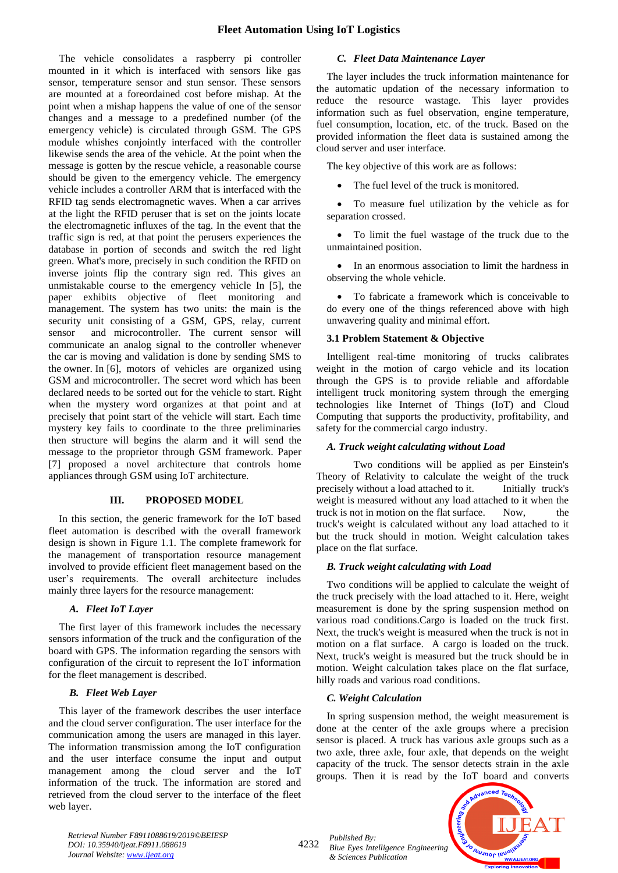# **Fleet Automation Using IoT Logistics**

The vehicle consolidates a raspberry pi controller mounted in it which is interfaced with sensors like gas sensor, temperature sensor and stun sensor. These sensors are mounted at a foreordained cost before mishap. At the point when a mishap happens the value of one of the sensor changes and a message to a predefined number (of the emergency vehicle) is circulated through GSM. The GPS module whishes conjointly interfaced with the controller likewise sends the area of the vehicle. At the point when the message is gotten by the rescue vehicle, a reasonable course should be given to the emergency vehicle. The emergency vehicle includes a controller ARM that is interfaced with the RFID tag sends electromagnetic waves. When a car arrives at the light the RFID peruser that is set on the joints locate the electromagnetic influxes of the tag. In the event that the traffic sign is red, at that point the perusers experiences the database in portion of seconds and switch the red light green. What's more, precisely in such condition the RFID on inverse joints flip the contrary sign red. This gives an unmistakable course to the emergency vehicle In [5], the paper exhibits objective of fleet monitoring and management. The system has two units: the main is the security unit consisting of a GSM, GPS, relay, current sensor and microcontroller. The current sensor will communicate an analog signal to the controller whenever the car is moving and validation is done by sending SMS to the owner. In [6], motors of vehicles are organized using GSM and microcontroller. The secret word which has been declared needs to be sorted out for the vehicle to start. Right when the mystery word organizes at that point and at precisely that point start of the vehicle will start. Each time mystery key fails to coordinate to the three preliminaries then structure will begins the alarm and it will send the message to the proprietor through GSM framework. Paper [7] proposed a novel architecture that controls home appliances through GSM using IoT architecture.

# **III. PROPOSED MODEL**

In this section, the generic framework for the IoT based fleet automation is described with the overall framework design is shown in Figure 1.1. The complete framework for the management of transportation resource management involved to provide efficient fleet management based on the user's requirements. The overall architecture includes mainly three layers for the resource management:

#### *A. Fleet IoT Layer*

The first layer of this framework includes the necessary sensors information of the truck and the configuration of the board with GPS. The information regarding the sensors with configuration of the circuit to represent the IoT information for the fleet management is described.

#### *B. Fleet Web Layer*

This layer of the framework describes the user interface and the cloud server configuration. The user interface for the communication among the users are managed in this layer. The information transmission among the IoT configuration and the user interface consume the input and output management among the cloud server and the IoT information of the truck. The information are stored and retrieved from the cloud server to the interface of the fleet web layer.

#### *C. Fleet Data Maintenance Layer*

The layer includes the truck information maintenance for the automatic updation of the necessary information to reduce the resource wastage. This layer provides information such as fuel observation, engine temperature, fuel consumption, location, etc. of the truck. Based on the provided information the fleet data is sustained among the cloud server and user interface.

The key objective of this work are as follows:

The fuel level of the truck is monitored.

• To measure fuel utilization by the vehicle as for separation crossed.

• To limit the fuel wastage of the truck due to the unmaintained position.

• In an enormous association to limit the hardness in observing the whole vehicle.

• To fabricate a framework which is conceivable to do every one of the things referenced above with high unwavering quality and minimal effort.

# **3.1 Problem Statement & Objective**

Intelligent real-time monitoring of trucks calibrates weight in the motion of cargo vehicle and its location through the GPS is to provide reliable and affordable intelligent truck monitoring system through the emerging technologies like Internet of Things (IoT) and Cloud Computing that supports the productivity, profitability, and safety for the commercial cargo industry.

#### *A. Truck weight calculating without Load*

Two conditions will be applied as per Einstein's Theory of Relativity to calculate the weight of the truck precisely without a load attached to it. Initially truck's weight is measured without any load attached to it when the truck is not in motion on the flat surface. Now, the truck's weight is calculated without any load attached to it but the truck should in motion. Weight calculation takes place on the flat surface.

#### *B. Truck weight calculating with Load*

Two conditions will be applied to calculate the weight of the truck precisely with the load attached to it. Here, weight measurement is done by the spring suspension method on various road conditions.Cargo is loaded on the truck first. Next, the truck's weight is measured when the truck is not in motion on a flat surface. A cargo is loaded on the truck. Next, truck's weight is measured but the truck should be in motion. Weight calculation takes place on the flat surface, hilly roads and various road conditions.

#### *C. Weight Calculation*

*& Sciences Publication* 

In spring suspension method, the weight measurement is done at the center of the axle groups where a precision sensor is placed. A truck has various axle groups such as a two axle, three axle, four axle, that depends on the weight capacity of the truck. The sensor detects strain in the axle groups. Then it is read by the IoT board and converts



*Retrieval Number F8911088619/2019©BEIESP DOI: 10.35940/ijeat.F8911.088619 Journal Website[: www.ijeat.org](http://www.ijeat.org/)*

<sup>4232</sup> *Published By: Blue Eyes Intelligence Engineering*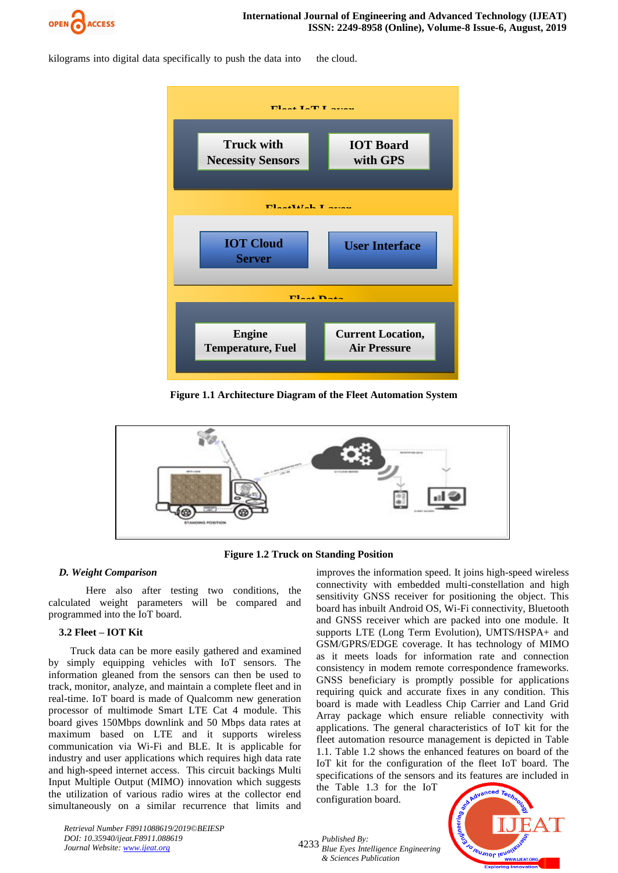

kilograms into digital data specifically to push the data into the cloud.



**Figure 1.1 Architecture Diagram of the Fleet Automation System**



**Figure 1.2 Truck on Standing Position**

# *D. Weight Comparison*

Here also after testing two conditions, the calculated weight parameters will be compared and programmed into the IoT board.

# **3.2 Fleet – IOT Kit**

Truck data can be more easily gathered and examined by simply equipping vehicles with IoT sensors. The information gleaned from the sensors can then be used to track, monitor, analyze, and maintain a complete fleet and in real-time. IoT board is made of Qualcomm new generation processor of multimode Smart LTE Cat 4 module. This board gives 150Mbps downlink and 50 Mbps data rates at maximum based on LTE and it supports wireless communication via Wi-Fi and BLE. It is applicable for industry and user applications which requires high data rate and high-speed internet access. This circuit backings Multi Input Multiple Output (MIMO) innovation which suggests the utilization of various radio wires at the collector end simultaneously on a similar recurrence that limits and

improves the information speed. It joins high-speed wireless connectivity with embedded multi-constellation and high sensitivity GNSS receiver for positioning the object. This board has inbuilt Android OS, Wi-Fi connectivity, Bluetooth and GNSS receiver which are packed into one module. It supports LTE (Long Term Evolution), UMTS/HSPA+ and GSM/GPRS/EDGE coverage. It has technology of MIMO as it meets loads for information rate and connection consistency in modem remote correspondence frameworks. GNSS beneficiary is promptly possible for applications requiring quick and accurate fixes in any condition. This board is made with Leadless Chip Carrier and Land Grid Array package which ensure reliable connectivity with applications. The general characteristics of IoT kit for the fleet automation resource management is depicted in Table 1.1. Table 1.2 shows the enhanced features on board of the IoT kit for the configuration of the fleet IoT board. The specifications of the sensors and its features are included in

the Table 1.3 for the IoT configuration board.



*Retrieval Number F8911088619/2019©BEIESP DOI: 10.35940/ijeat.F8911.088619 Journal Website[: www.ijeat.org](http://www.ijeat.org/)*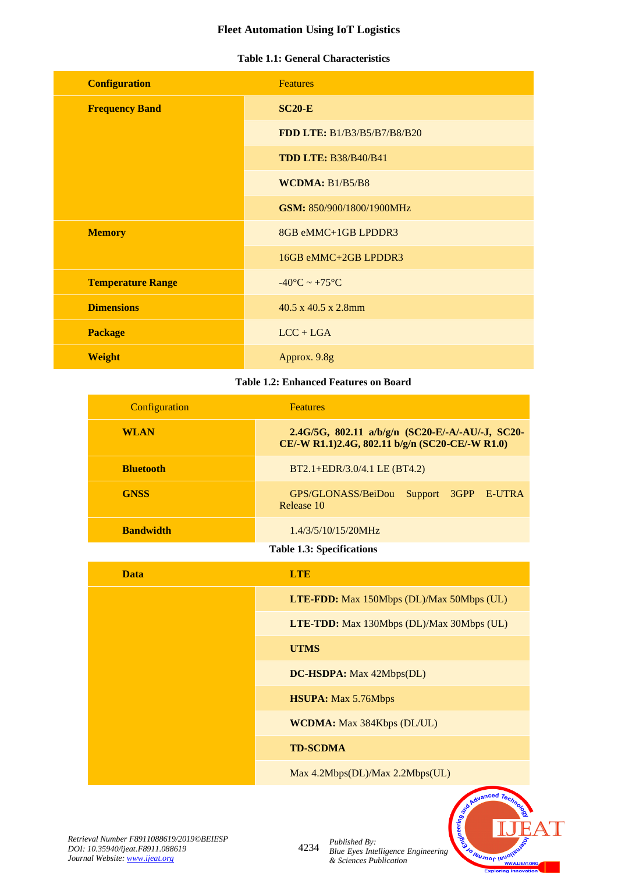# **Fleet Automation Using IoT Logistics**

# **Table 1.1: General Characteristics**

| <b>Configuration</b>     | <b>Features</b>                   |
|--------------------------|-----------------------------------|
| <b>Frequency Band</b>    | $SC20-E$                          |
|                          | FDD LTE: B1/B3/B5/B7/B8/B20       |
|                          | <b>TDD LTE: B38/B40/B41</b>       |
|                          | WCDMA: $B1/B5/B8$                 |
|                          | GSM: 850/900/1800/1900MHz         |
| <b>Memory</b>            | 8GB eMMC+1GB LPDDR3               |
|                          | 16GB eMMC+2GB LPDDR3              |
| <b>Temperature Range</b> | $-40^{\circ}$ C ~ $+75^{\circ}$ C |
| <b>Dimensions</b>        | 40.5 x 40.5 x 2.8mm               |
| <b>Package</b>           | $LCC + LGA$                       |
| <b>Weight</b>            | Approx. 9.8g                      |

# **Table 1.2: Enhanced Features on Board**

| Configuration    | <b>Features</b>                                                                                     |
|------------------|-----------------------------------------------------------------------------------------------------|
| <b>WLAN</b>      | 2.4G/5G, 802.11 a/b/g/n (SC20-E/-A/-AU/-J, SC20-<br>CE/-W R1.1)2.4G, 802.11 b/g/n (SC20-CE/-W R1.0) |
| <b>Bluetooth</b> | $BT2.1+EDR/3.0/4.1$ LE (BT4.2)                                                                      |
| <b>GNSS</b>      | GPS/GLONASS/BeiDou<br>Support 3GPP E-UTRA<br>Release 10                                             |
| <b>Bandwidth</b> | 1.4/3/5/10/15/20MHz                                                                                 |

**Table 1.3: Specifications**

| <b>Data</b> | <b>LTE</b>                                       |
|-------------|--------------------------------------------------|
|             | LTE-FDD: Max 150Mbps (DL)/Max 50Mbps (UL)        |
|             | <b>LTE-TDD:</b> Max 130Mbps (DL)/Max 30Mbps (UL) |
|             | <b>UTMS</b>                                      |
|             | DC-HSDPA: Max 42Mbps(DL)                         |
|             | <b>HSUPA:</b> Max 5.76Mbps                       |
|             | <b>WCDMA:</b> Max 384Kbps (DL/UL)                |
|             | <b>TD-SCDMA</b>                                  |
|             | Max 4.2Mbps(DL)/Max 2.2Mbps(UL)                  |

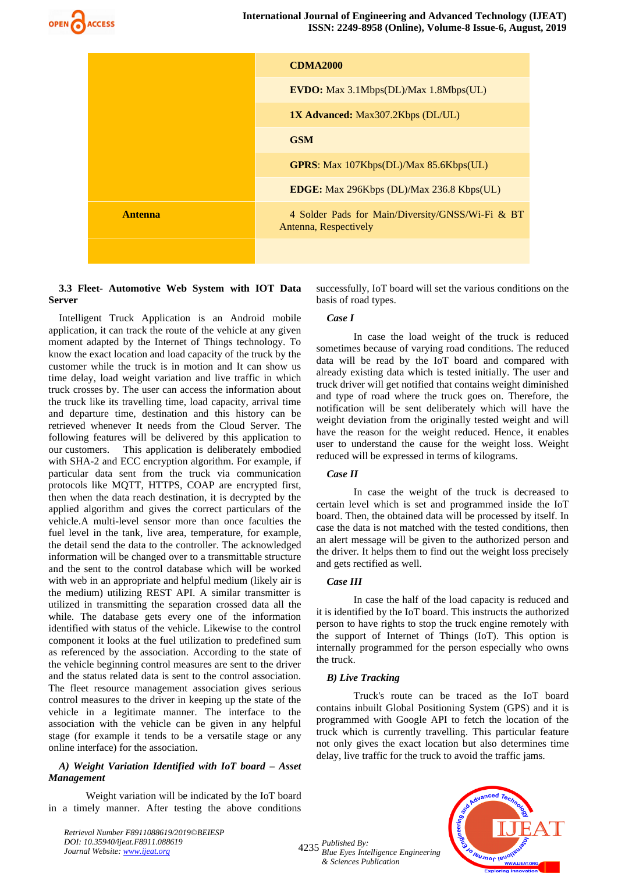

|                | <b>CDMA2000</b>                                                           |
|----------------|---------------------------------------------------------------------------|
|                | <b>EVDO:</b> Max 3.1Mbps(DL)/Max 1.8Mbps(UL)                              |
|                | <b>1X Advanced:</b> Max307.2Kbps (DL/UL)                                  |
|                | <b>GSM</b>                                                                |
|                | <b>GPRS:</b> Max 107Kbps(DL)/Max 85.6Kbps(UL)                             |
|                | <b>EDGE:</b> Max 296Kbps (DL)/Max 236.8 Kbps(UL)                          |
| <b>Antenna</b> | 4 Solder Pads for Main/Diversity/GNSS/Wi-Fi & BT<br>Antenna, Respectively |
|                |                                                                           |

# **3.3 Fleet- Automotive Web System with IOT Data Server**

Intelligent Truck Application is an Android mobile application, it can track the route of the vehicle at any given moment adapted by the Internet of Things technology. To know the exact location and load capacity of the truck by the customer while the truck is in motion and It can show us time delay, load weight variation and live traffic in which truck crosses by. The user can access the information about the truck like its travelling time, load capacity, arrival time and departure time, destination and this history can be retrieved whenever It needs from the Cloud Server. The following features will be delivered by this application to our customers. This application is deliberately embodied with SHA-2 and ECC encryption algorithm. For example, if particular data sent from the truck via communication protocols like MQTT, HTTPS, COAP are encrypted first, then when the data reach destination, it is decrypted by the applied algorithm and gives the correct particulars of the vehicle.A multi-level sensor more than once faculties the fuel level in the tank, live area, temperature, for example, the detail send the data to the controller. The acknowledged information will be changed over to a transmittable structure and the sent to the control database which will be worked with web in an appropriate and helpful medium (likely air is the medium) utilizing REST API. A similar transmitter is utilized in transmitting the separation crossed data all the while. The database gets every one of the information identified with status of the vehicle. Likewise to the control component it looks at the fuel utilization to predefined sum as referenced by the association. According to the state of the vehicle beginning control measures are sent to the driver and the status related data is sent to the control association. The fleet resource management association gives serious control measures to the driver in keeping up the state of the vehicle in a legitimate manner. The interface to the association with the vehicle can be given in any helpful stage (for example it tends to be a versatile stage or any online interface) for the association.

### *A) Weight Variation Identified with IoT board – Asset Management*

Weight variation will be indicated by the IoT board in a timely manner. After testing the above conditions

*Retrieval Number F8911088619/2019©BEIESP DOI: 10.35940/ijeat.F8911.088619 Journal Website[: www.ijeat.org](http://www.ijeat.org/)*

successfully, IoT board will set the various conditions on the basis of road types.

### *Case I*

In case the load weight of the truck is reduced sometimes because of varying road conditions. The reduced data will be read by the IoT board and compared with already existing data which is tested initially. The user and truck driver will get notified that contains weight diminished and type of road where the truck goes on. Therefore, the notification will be sent deliberately which will have the weight deviation from the originally tested weight and will have the reason for the weight reduced. Hence, it enables user to understand the cause for the weight loss. Weight reduced will be expressed in terms of kilograms.

# *Case II*

In case the weight of the truck is decreased to certain level which is set and programmed inside the IoT board. Then, the obtained data will be processed by itself. In case the data is not matched with the tested conditions, then an alert message will be given to the authorized person and the driver. It helps them to find out the weight loss precisely and gets rectified as well.

#### *Case III*

In case the half of the load capacity is reduced and it is identified by the IoT board. This instructs the authorized person to have rights to stop the truck engine remotely with the support of Internet of Things (IoT). This option is internally programmed for the person especially who owns the truck.

#### *B) Live Tracking*

Truck's route can be traced as the IoT board contains inbuilt Global Positioning System (GPS) and it is programmed with Google API to fetch the location of the truck which is currently travelling. This particular feature not only gives the exact location but also determines time delay, live traffic for the truck to avoid the traffic jams.



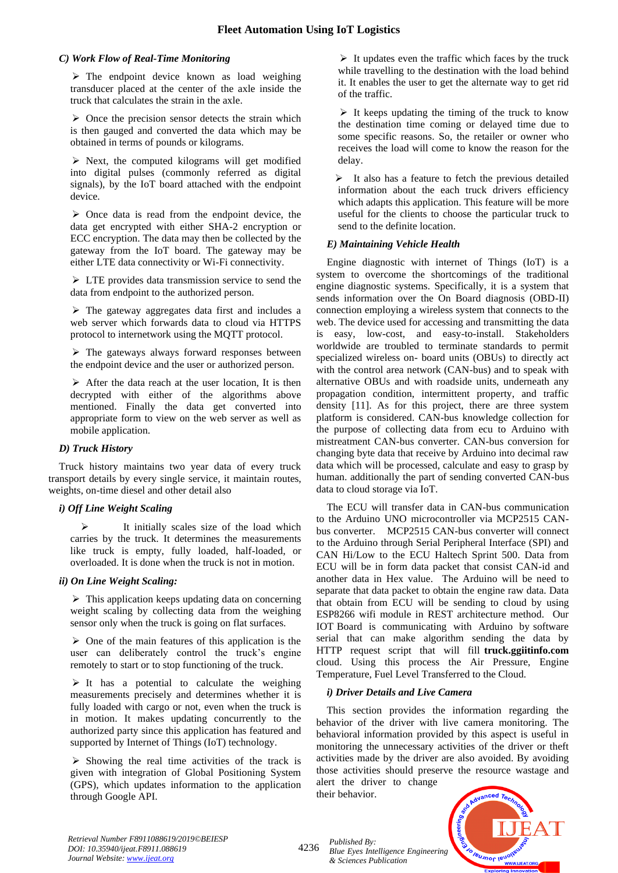# *C) Work Flow of Real-Time Monitoring*

 $\triangleright$  The endpoint device known as load weighing transducer placed at the center of the axle inside the truck that calculates the strain in the axle.

 $\triangleright$  Once the precision sensor detects the strain which is then gauged and converted the data which may be obtained in terms of pounds or kilograms.

 $\triangleright$  Next, the computed kilograms will get modified into digital pulses (commonly referred as digital signals), by the IoT board attached with the endpoint device.

 $\triangleright$  Once data is read from the endpoint device, the data get encrypted with either SHA-2 encryption or ECC encryption. The data may then be collected by the gateway from the IoT board. The gateway may be either LTE data connectivity or Wi-Fi connectivity.

➢ LTE provides data transmission service to send the data from endpoint to the authorized person.

 $\triangleright$  The gateway aggregates data first and includes a web server which forwards data to cloud via HTTPS protocol to internetwork using the MQTT protocol.

 $\triangleright$  The gateways always forward responses between the endpoint device and the user or authorized person.

➢ After the data reach at the user location, It is then decrypted with either of the algorithms above mentioned. Finally the data get converted into appropriate form to view on the web server as well as mobile application.

# *D) Truck History*

Truck history maintains two year data of every truck transport details by every single service, it maintain routes, weights, on-time diesel and other detail also

# *i) Off Line Weight Scaling*

It initially scales size of the load which carries by the truck. It determines the measurements like truck is empty, fully loaded, half-loaded, or overloaded. It is done when the truck is not in motion.

# *ii) On Line Weight Scaling:*

 $\triangleright$  This application keeps updating data on concerning weight scaling by collecting data from the weighing sensor only when the truck is going on flat surfaces.

➢ One of the main features of this application is the user can deliberately control the truck's engine remotely to start or to stop functioning of the truck.

 $\triangleright$  It has a potential to calculate the weighing measurements precisely and determines whether it is fully loaded with cargo or not, even when the truck is in motion. It makes updating concurrently to the authorized party since this application has featured and supported by Internet of Things (IoT) technology.

 $\triangleright$  Showing the real time activities of the track is given with integration of Global Positioning System (GPS), which updates information to the application through Google API.

 $\triangleright$  It updates even the traffic which faces by the truck while travelling to the destination with the load behind it. It enables the user to get the alternate way to get rid of the traffic.

 $\triangleright$  It keeps updating the timing of the truck to know the destination time coming or delayed time due to some specific reasons. So, the retailer or owner who receives the load will come to know the reason for the delay.

➢ It also has a feature to fetch the previous detailed information about the each truck drivers efficiency which adapts this application. This feature will be more useful for the clients to choose the particular truck to send to the definite location.

# *E) Maintaining Vehicle Health*

Engine diagnostic with internet of Things (IoT) is a system to overcome the shortcomings of the traditional engine diagnostic systems. Specifically, it is a system that sends information over the On Board diagnosis (OBD-II) connection employing a wireless system that connects to the web. The device used for accessing and transmitting the data is easy, low-cost, and easy-to-install. Stakeholders worldwide are troubled to terminate standards to permit specialized wireless on- board units (OBUs) to directly act with the control area network (CAN-bus) and to speak with alternative OBUs and with roadside units, underneath any propagation condition, intermittent property, and traffic density [11]. As for this project, there are three system platform is considered. CAN-bus knowledge collection for the purpose of collecting data from ecu to Arduino with mistreatment CAN-bus converter. CAN-bus conversion for changing byte data that receive by Arduino into decimal raw data which will be processed, calculate and easy to grasp by human. additionally the part of sending converted CAN-bus data to cloud storage via IoT.

The ECU will transfer data in CAN-bus communication to the Arduino UNO microcontroller via MCP2515 CANbus converter. MCP2515 CAN-bus converter will connect to the Arduino through Serial Peripheral Interface (SPI) and CAN Hi/Low to the ECU Haltech Sprint 500. Data from ECU will be in form data packet that consist CAN-id and another data in Hex value. The Arduino will be need to separate that data packet to obtain the engine raw data. Data that obtain from ECU will be sending to cloud by using ESP8266 wifi module in REST architecture method. Our IOT Board is communicating with Arduino by software serial that can make algorithm sending the data by HTTP request script that will fill **truck.ggiitinfo.com** cloud. Using this process the Air Pressure, Engine Temperature, Fuel Level Transferred to the Cloud.

# *i) Driver Details and Live Camera*

This section provides the information regarding the behavior of the driver with live camera monitoring. The behavioral information provided by this aspect is useful in monitoring the unnecessary activities of the driver or theft activities made by the driver are also avoided. By avoiding those activities should preserve the resource wastage and alert the driver to change their behavior.

**Jeumor leur** WWW.IJEAT.ORG

*Retrieval Number F8911088619/2019©BEIESP DOI: 10.35940/ijeat.F8911.088619 Journal Website[: www.ijeat.org](http://www.ijeat.org/)*

<sup>4236</sup> *Published By: Blue Eyes Intelligence Engineering* 

*& Sciences Publication*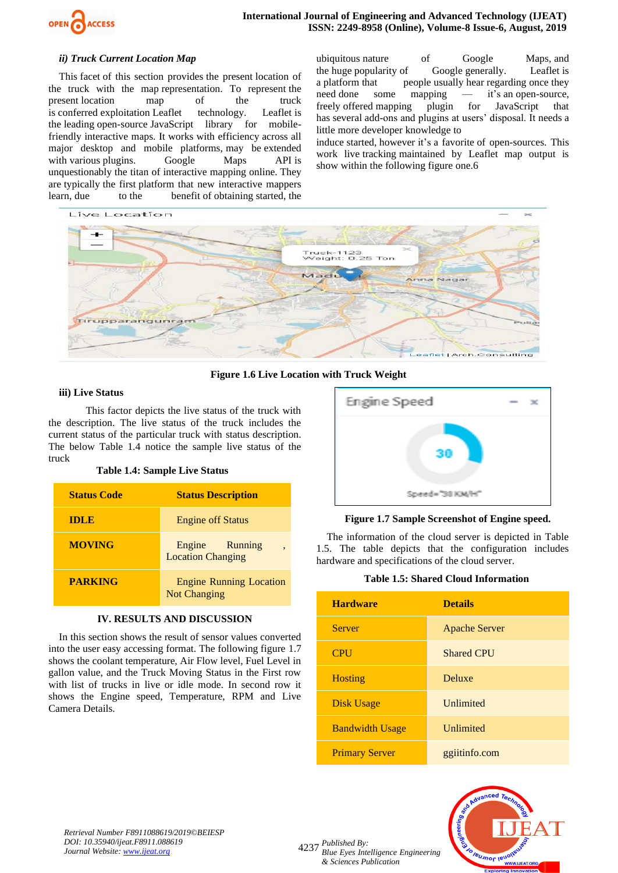

#### *ii) Truck Current Location Map*

This facet of this section provides the present location of the truck with the map representation. To represent the present location map of the truck is conferred exploitation Leaflet technology. Leaflet is the leading open-source JavaScript library for mobilefriendly interactive maps. It works with efficiency across all major desktop and mobile platforms, may be extended with various plugins. Google Maps API is unquestionably the titan of interactive mapping online. They are typically the first platform that new interactive mappers learn, due to the benefit of obtaining started, the

ubiquitous nature of Google Maps, and the huge popularity of Google generally. Leaflet is a platform that people usually hear regarding once they need done some mapping — it's an open-source, freely offered mapping plugin for JavaScript that has several add-ons and plugins at users' disposal. It needs a little more developer knowledge to

induce started, however it's a favorite of open-sources. This work live tracking maintained by Leaflet map output is show within the following figure one.6



**Figure 1.6 Live Location with Truck Weight**

#### **iii) Live Status**

This factor depicts the live status of the truck with the description. The live status of the truck includes the current status of the particular truck with status description. The below Table 1.4 notice the sample live status of the truck

### **Table 1.4: Sample Live Status**

| <b>Status Code</b> | <b>Status Description</b>                             |
|--------------------|-------------------------------------------------------|
| <b>IDLE</b>        | <b>Engine off Status</b>                              |
| <b>MOVING</b>      | Engine Running<br><b>Location Changing</b>            |
| <b>PARKING</b>     | <b>Engine Running Location</b><br><b>Not Changing</b> |

# **IV. RESULTS AND DISCUSSION**

In this section shows the result of sensor values converted into the user easy accessing format. The following figure 1.7 shows the coolant temperature, Air Flow level, Fuel Level in gallon value, and the Truck Moving Status in the First row with list of trucks in live or idle mode. In second row it shows the Engine speed, Temperature, RPM and Live Camera Details.



#### **Figure 1.7 Sample Screenshot of Engine speed.**

The information of the cloud server is depicted in Table 1.5. The table depicts that the configuration includes hardware and specifications of the cloud server.

#### **Table 1.5: Shared Cloud Information**

| <b>Hardware</b>        | <b>Details</b>       |
|------------------------|----------------------|
| <b>Server</b>          | <b>Apache Server</b> |
| <b>CPU</b>             | <b>Shared CPU</b>    |
| <b>Hosting</b>         | Deluxe               |
| Disk Usage             | <b>Unlimited</b>     |
| <b>Bandwidth Usage</b> | Unlimited            |
| <b>Primary Server</b>  | ggiitinfo.com        |



*Retrieval Number F8911088619/2019©BEIESP DOI: 10.35940/ijeat.F8911.088619 Journal Website[: www.ijeat.org](http://www.ijeat.org/)*